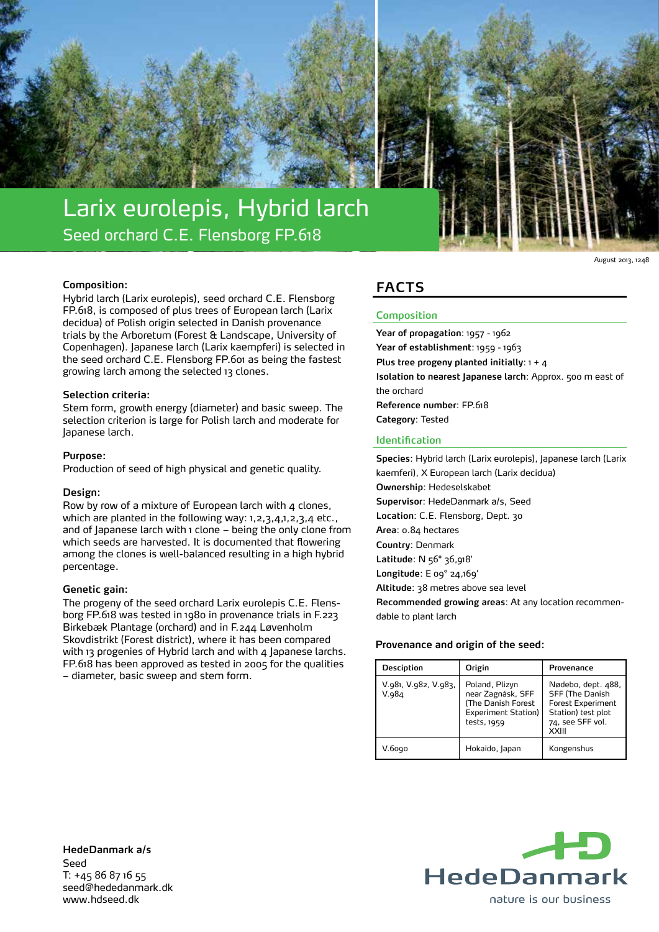

**Composition: FaCTS** Hybrid larch (Larix eurolepis), seed orchard C.E. Flensborg FP.618, is composed of plus trees of European larch (Larix decidua) of Polish origin selected in Danish provenance trials by the Arboretum (Forest & Landscape, University of Copenhagen). Japanese larch (Larix kaempferi) is selected in the seed orchard C.E. Flensborg FP.601 as being the fastest growing larch among the selected 13 clones.

## **Selection criteria:**

Stem form, growth energy (diameter) and basic sweep. The selection criterion is large for Polish larch and moderate for Japanese larch.

#### **Purpose:**

Production of seed of high physical and genetic quality.

#### **Design:**

Row by row of a mixture of European larch with 4 clones, which are planted in the following way: 1, 2, 3, 4, 1, 2, 3, 4 etc., and of Japanese larch with 1 clone - being the only clone from which seeds are harvested. It is documented that flowering among the clones is well-balanced resulting in a high hybrid percentage.

#### **Genetic gain:**

The progeny of the seed orchard Larix eurolepis C.E. Flensborg FP.618 was tested in 1980 in provenance trials in F.223 Birkebæk Plantage (orchard) and in F.244 Løvenholm Skovdistrikt (Forest district), where it has been compared with 13 progenies of Hybrid larch and with 4 Japanese larchs. FP.618 has been approved as tested in 2005 for the qualities – diameter, basic sweep and stem form.

## **Composition**

**Year of propagation**: 1957 - 1962 **Year of establishment**: 1959 - 1963 **Plus tree progeny planted initially**: 1 + 4 **Isolation to nearest Japanese larch**: Approx. 500 m east of the orchard **Reference number**: FP.618 **Category**: Tested

August 2013, 1248

## **Identification**

**Species**: Hybrid larch (Larix eurolepis), Japanese larch (Larix kaemferi), X European larch (Larix decidua) **Ownership**: Hedeselskabet **Supervisor**: HedeDanmark a/s, Seed **Location**: C.E. Flensborg, Dept. 30 **Area**: 0.84 hectares **Country**: Denmark **Latitude**: N 56° 36,918' **Longitude**: E 09° 24,169' **Altitude**: 38 metres above sea level **Recommended growing areas**: At any location recommendable to plant larch

## **Provenance and origin of the seed:**

| <b>Desciption</b>             | Origin                                                                                          | Provenance                                                                                                                   |
|-------------------------------|-------------------------------------------------------------------------------------------------|------------------------------------------------------------------------------------------------------------------------------|
| V.981, V.982, V.983,<br>V.984 | Poland, Plizyn<br>near Zagnásk, SFF<br>(The Danish Forest<br>Experiment Station)<br>tests, 1959 | Nødebo, dept. 488,<br><b>SFF (The Danish)</b><br><b>Forest Experiment</b><br>Station) test plot<br>74, see SFF vol.<br>XXIII |
| V.6ogo                        | Hokaido, Japan                                                                                  | Kongenshus                                                                                                                   |

**HedeDanmark a/s** Seed T: +45 86 87 16 55 seed@hededanmark.dk www.hdseed.dk